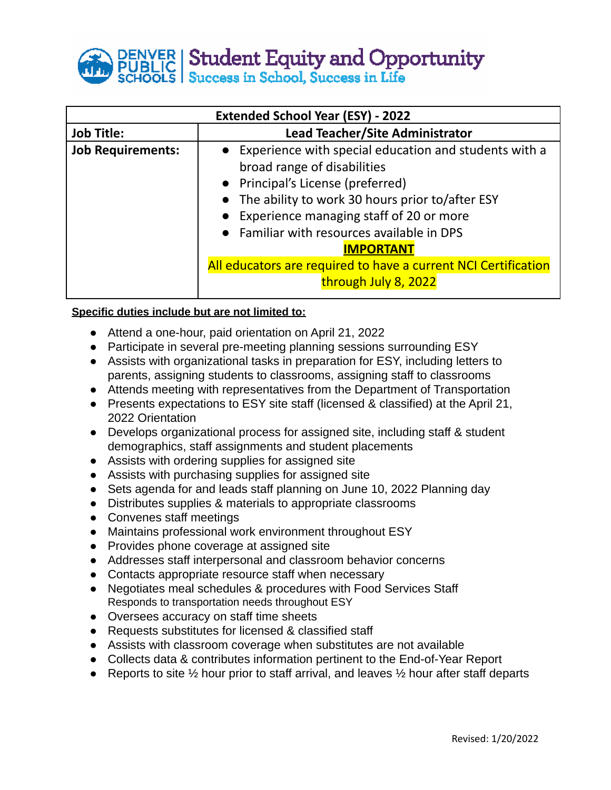**DENVER | Student Equity and Opportunity<br>PUBLIC | Student Equity and Opportunity** 

| <b>Extended School Year (ESY) - 2022</b> |                                                                                                                                                                                                                                                                                                                                                                                           |
|------------------------------------------|-------------------------------------------------------------------------------------------------------------------------------------------------------------------------------------------------------------------------------------------------------------------------------------------------------------------------------------------------------------------------------------------|
| <b>Job Title:</b>                        | Lead Teacher/Site Administrator                                                                                                                                                                                                                                                                                                                                                           |
| <b>Job Requirements:</b>                 | • Experience with special education and students with a<br>broad range of disabilities<br>• Principal's License (preferred)<br>• The ability to work 30 hours prior to/after ESY<br>• Experience managing staff of 20 or more<br>• Familiar with resources available in DPS<br><b>IMPORTANT</b><br>All educators are required to have a current NCI Certification<br>through July 8, 2022 |

## **Specific duties include but are not limited to:**

- **●** Attend a one-hour, paid orientation on April 21, 2022
- Participate in several pre-meeting planning sessions surrounding ESY
- Assists with organizational tasks in preparation for ESY, including letters to parents, assigning students to classrooms, assigning staff to classrooms
- Attends meeting with representatives from the Department of Transportation
- Presents expectations to ESY site staff (licensed & classified) at the April 21, 2022 Orientation
- Develops organizational process for assigned site, including staff & student demographics, staff assignments and student placements
- Assists with ordering supplies for assigned site
- Assists with purchasing supplies for assigned site
- Sets agenda for and leads staff planning on June 10, 2022 Planning day
- Distributes supplies & materials to appropriate classrooms
- Convenes staff meetings
- Maintains professional work environment throughout ESY
- Provides phone coverage at assigned site
- Addresses staff interpersonal and classroom behavior concerns
- Contacts appropriate resource staff when necessary
- Negotiates meal schedules & procedures with Food Services Staff Responds to transportation needs throughout ESY
- Oversees accuracy on staff time sheets
- Requests substitutes for licensed & classified staff
- Assists with classroom coverage when substitutes are not available
- Collects data & contributes information pertinent to the End-of-Year Report
- Reports to site  $\frac{1}{2}$  hour prior to staff arrival, and leaves  $\frac{1}{2}$  hour after staff departs